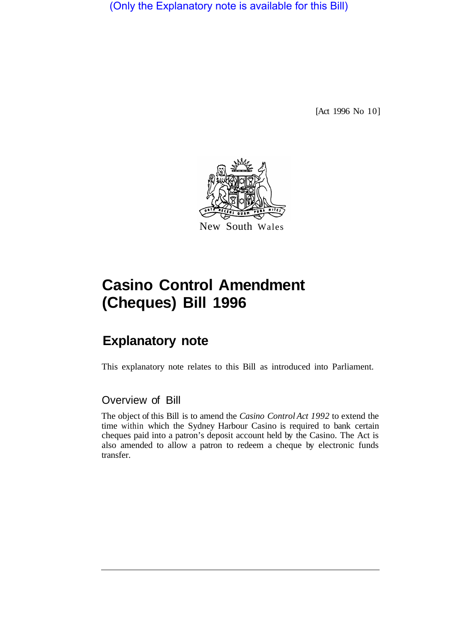(Only the Explanatory note is available for this Bill)

[Act 1996 No 10]



# **Casino Control Amendment (Cheques) Bill 1996**

## **Explanatory note**

This explanatory note relates to this Bill as introduced into Parliament.

#### Overview of Bill

The object of this Bill is to amend the *Casino Control Act 1992* to extend the time within which the Sydney Harbour Casino is required to bank certain cheques paid into a patron's deposit account held by the Casino. The Act is also amended to allow a patron to redeem a cheque by electronic funds transfer.